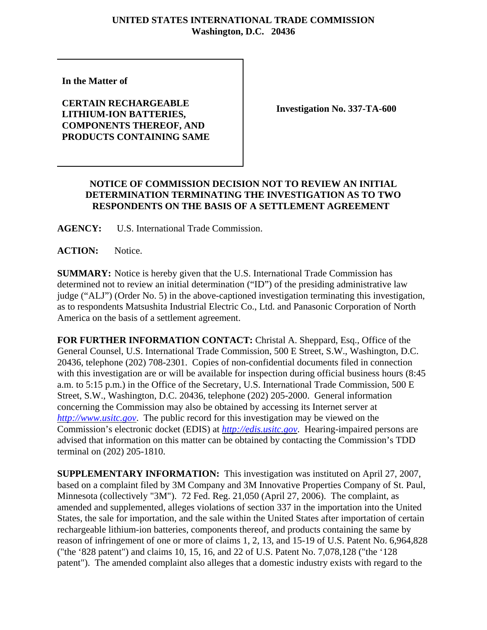## **UNITED STATES INTERNATIONAL TRADE COMMISSION Washington, D.C. 20436**

**In the Matter of** 

**CERTAIN RECHARGEABLE LITHIUM-ION BATTERIES, COMPONENTS THEREOF, AND PRODUCTS CONTAINING SAME**

**Investigation No. 337-TA-600**

## **NOTICE OF COMMISSION DECISION NOT TO REVIEW AN INITIAL DETERMINATION TERMINATING THE INVESTIGATION AS TO TWO RESPONDENTS ON THE BASIS OF A SETTLEMENT AGREEMENT**

**AGENCY:** U.S. International Trade Commission.

**ACTION:** Notice.

**SUMMARY:** Notice is hereby given that the U.S. International Trade Commission has determined not to review an initial determination ("ID") of the presiding administrative law judge ("ALJ") (Order No. 5) in the above-captioned investigation terminating this investigation, as to respondents Matsushita Industrial Electric Co., Ltd. and Panasonic Corporation of North America on the basis of a settlement agreement.

**FOR FURTHER INFORMATION CONTACT:** Christal A. Sheppard, Esq., Office of the General Counsel, U.S. International Trade Commission, 500 E Street, S.W., Washington, D.C. 20436, telephone (202) 708-2301. Copies of non-confidential documents filed in connection with this investigation are or will be available for inspection during official business hours (8:45 a.m. to 5:15 p.m.) in the Office of the Secretary, U.S. International Trade Commission, 500 E Street, S.W., Washington, D.C. 20436, telephone (202) 205-2000. General information concerning the Commission may also be obtained by accessing its Internet server at *http://www.usitc.gov*. The public record for this investigation may be viewed on the Commission's electronic docket (EDIS) at *http://edis.usitc.gov*. Hearing-impaired persons are advised that information on this matter can be obtained by contacting the Commission's TDD terminal on (202) 205-1810.

**SUPPLEMENTARY INFORMATION:** This investigation was instituted on April 27, 2007, based on a complaint filed by 3M Company and 3M Innovative Properties Company of St. Paul, Minnesota (collectively "3M"). 72 Fed. Reg. 21,050 (April 27, 2006). The complaint, as amended and supplemented, alleges violations of section 337 in the importation into the United States, the sale for importation, and the sale within the United States after importation of certain rechargeable lithium-ion batteries, components thereof, and products containing the same by reason of infringement of one or more of claims 1, 2, 13, and 15-19 of U.S. Patent No. 6,964,828 ("the '828 patent") and claims 10, 15, 16, and 22 of U.S. Patent No. 7,078,128 ("the '128 patent"). The amended complaint also alleges that a domestic industry exists with regard to the